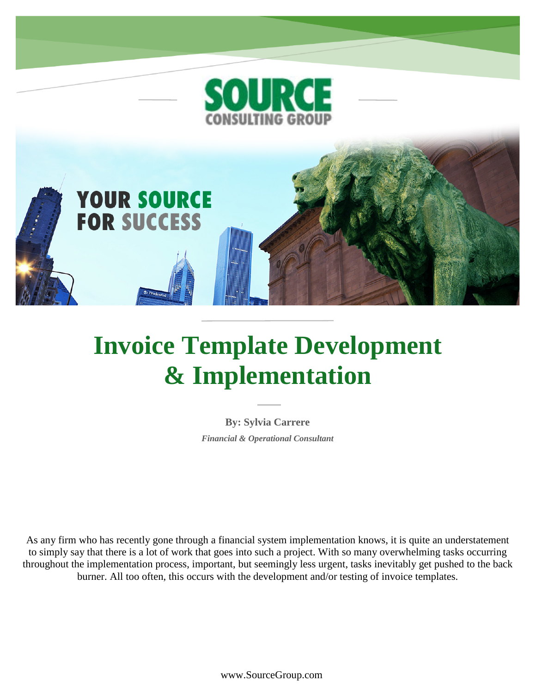

# **Invoice Template Development & Implementation**

**By: Sylvia Carrere** *Financial & Operational Consultant*

As any firm who has recently gone through a financial system implementation knows, it is quite an understatement to simply say that there is a lot of work that goes into such a project. With so many overwhelming tasks occurring throughout the implementation process, important, but seemingly less urgent, tasks inevitably get pushed to the back burner. All too often, this occurs with the development and/or testing of invoice templates.

www.SourceGroup.com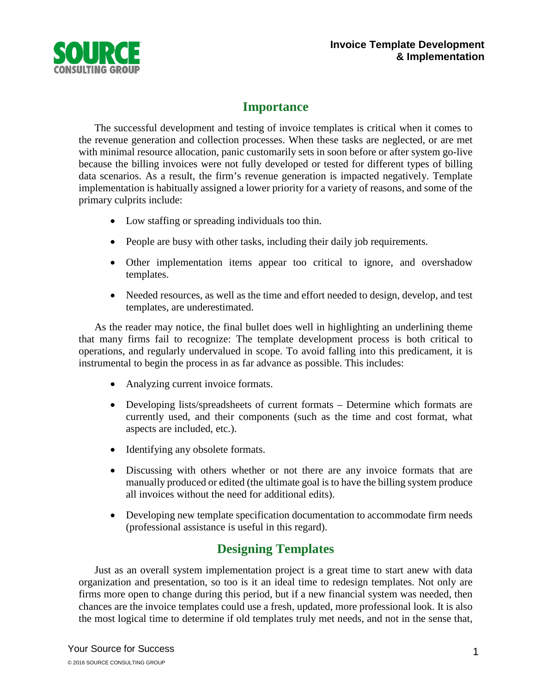

## **Importance**

The successful development and testing of invoice templates is critical when it comes to the revenue generation and collection processes. When these tasks are neglected, or are met with minimal resource allocation, panic customarily sets in soon before or after system go-live because the billing invoices were not fully developed or tested for different types of billing data scenarios. As a result, the firm's revenue generation is impacted negatively. Template implementation is habitually assigned a lower priority for a variety of reasons, and some of the primary culprits include:

- Low staffing or spreading individuals too thin.
- People are busy with other tasks, including their daily job requirements.
- Other implementation items appear too critical to ignore, and overshadow templates.
- Needed resources, as well as the time and effort needed to design, develop, and test templates, are underestimated.

As the reader may notice, the final bullet does well in highlighting an underlining theme that many firms fail to recognize: The template development process is both critical to operations, and regularly undervalued in scope. To avoid falling into this predicament, it is instrumental to begin the process in as far advance as possible. This includes:

- Analyzing current invoice formats.
- Developing lists/spreadsheets of current formats Determine which formats are currently used, and their components (such as the time and cost format, what aspects are included, etc.).
- Identifying any obsolete formats.
- Discussing with others whether or not there are any invoice formats that are manually produced or edited (the ultimate goal is to have the billing system produce all invoices without the need for additional edits).
- Developing new template specification documentation to accommodate firm needs (professional assistance is useful in this regard).

# **Designing Templates**

Just as an overall system implementation project is a great time to start anew with data organization and presentation, so too is it an ideal time to redesign templates. Not only are firms more open to change during this period, but if a new financial system was needed, then chances are the invoice templates could use a fresh, updated, more professional look. It is also the most logical time to determine if old templates truly met needs, and not in the sense that,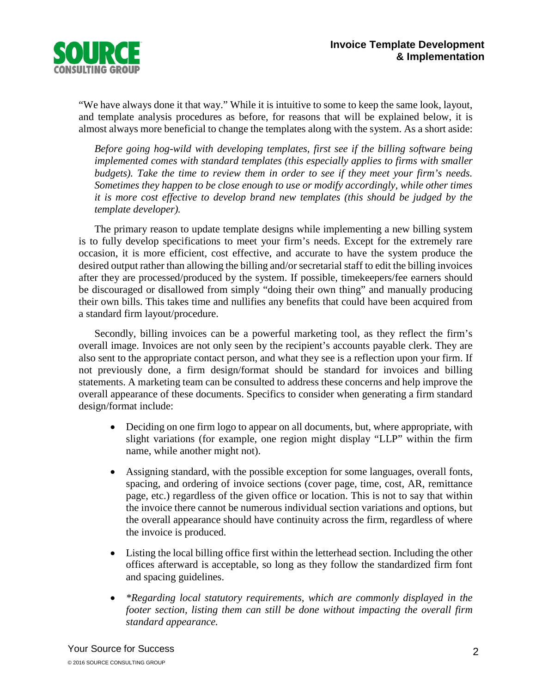

"We have always done it that way." While it is intuitive to some to keep the same look, layout, and template analysis procedures as before, for reasons that will be explained below, it is almost always more beneficial to change the templates along with the system. As a short aside:

*Before going hog-wild with developing templates, first see if the billing software being implemented comes with standard templates (this especially applies to firms with smaller budgets). Take the time to review them in order to see if they meet your firm's needs. Sometimes they happen to be close enough to use or modify accordingly, while other times it is more cost effective to develop brand new templates (this should be judged by the template developer).*

The primary reason to update template designs while implementing a new billing system is to fully develop specifications to meet your firm's needs. Except for the extremely rare occasion, it is more efficient, cost effective, and accurate to have the system produce the desired output rather than allowing the billing and/or secretarial staff to edit the billing invoices after they are processed/produced by the system. If possible, timekeepers/fee earners should be discouraged or disallowed from simply "doing their own thing" and manually producing their own bills. This takes time and nullifies any benefits that could have been acquired from a standard firm layout/procedure.

Secondly, billing invoices can be a powerful marketing tool, as they reflect the firm's overall image. Invoices are not only seen by the recipient's accounts payable clerk. They are also sent to the appropriate contact person, and what they see is a reflection upon your firm. If not previously done, a firm design/format should be standard for invoices and billing statements. A marketing team can be consulted to address these concerns and help improve the overall appearance of these documents. Specifics to consider when generating a firm standard design/format include:

- Deciding on one firm logo to appear on all documents, but, where appropriate, with slight variations (for example, one region might display "LLP" within the firm name, while another might not).
- Assigning standard, with the possible exception for some languages, overall fonts, spacing, and ordering of invoice sections (cover page, time, cost, AR, remittance page, etc.) regardless of the given office or location. This is not to say that within the invoice there cannot be numerous individual section variations and options, but the overall appearance should have continuity across the firm, regardless of where the invoice is produced.
- Listing the local billing office first within the letterhead section. Including the other offices afterward is acceptable, so long as they follow the standardized firm font and spacing guidelines.
- *\*Regarding local statutory requirements, which are commonly displayed in the footer section, listing them can still be done without impacting the overall firm standard appearance.*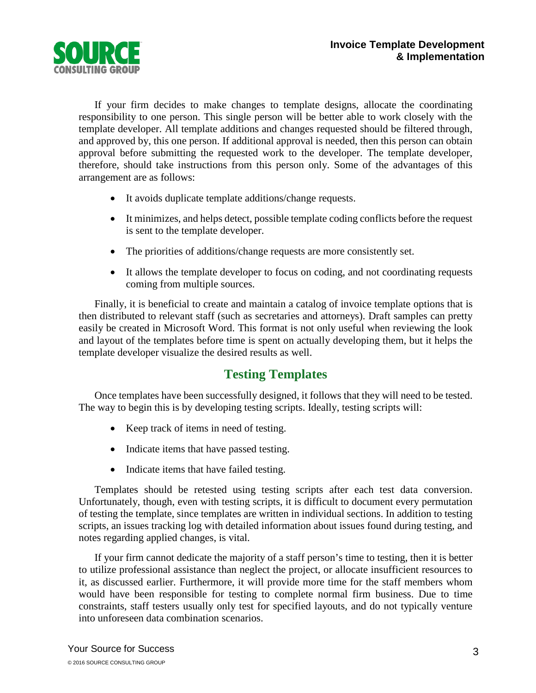

If your firm decides to make changes to template designs, allocate the coordinating responsibility to one person. This single person will be better able to work closely with the template developer. All template additions and changes requested should be filtered through, and approved by, this one person. If additional approval is needed, then this person can obtain approval before submitting the requested work to the developer. The template developer, therefore, should take instructions from this person only. Some of the advantages of this arrangement are as follows:

- It avoids duplicate template additions/change requests.
- It minimizes, and helps detect, possible template coding conflicts before the request is sent to the template developer.
- The priorities of additions/change requests are more consistently set.
- It allows the template developer to focus on coding, and not coordinating requests coming from multiple sources.

Finally, it is beneficial to create and maintain a catalog of invoice template options that is then distributed to relevant staff (such as secretaries and attorneys). Draft samples can pretty easily be created in Microsoft Word. This format is not only useful when reviewing the look and layout of the templates before time is spent on actually developing them, but it helps the template developer visualize the desired results as well.

### **Testing Templates**

Once templates have been successfully designed, it follows that they will need to be tested. The way to begin this is by developing testing scripts. Ideally, testing scripts will:

- Keep track of items in need of testing.
- Indicate items that have passed testing.
- Indicate items that have failed testing.

Templates should be retested using testing scripts after each test data conversion. Unfortunately, though, even with testing scripts, it is difficult to document every permutation of testing the template, since templates are written in individual sections. In addition to testing scripts, an issues tracking log with detailed information about issues found during testing, and notes regarding applied changes, is vital.

If your firm cannot dedicate the majority of a staff person's time to testing, then it is better to utilize professional assistance than neglect the project, or allocate insufficient resources to it, as discussed earlier. Furthermore, it will provide more time for the staff members whom would have been responsible for testing to complete normal firm business. Due to time constraints, staff testers usually only test for specified layouts, and do not typically venture into unforeseen data combination scenarios.